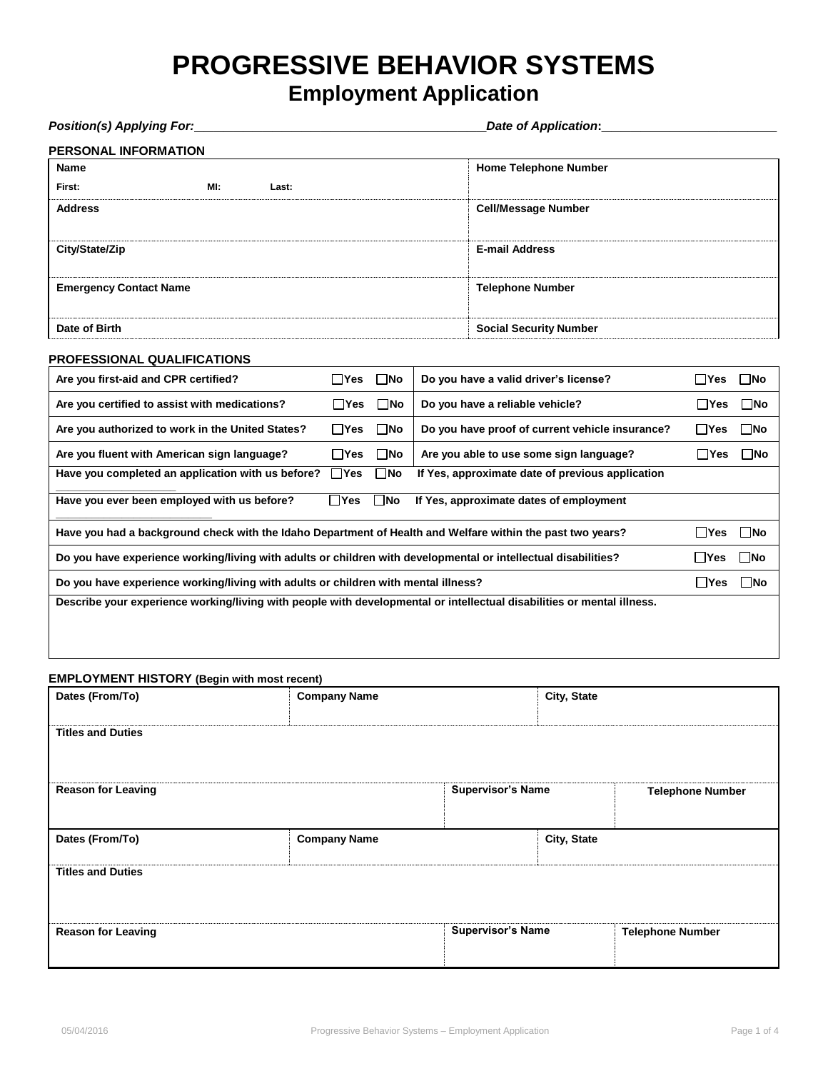# **PROGRESSIVE BEHAVIOR SYSTEMS**

# **Employment Application**

| <b>Position(s) Applying For:</b>                                                                                       | <b>Date of Application:</b> |                                                  |                               |  |
|------------------------------------------------------------------------------------------------------------------------|-----------------------------|--------------------------------------------------|-------------------------------|--|
| <b>PERSONAL INFORMATION</b>                                                                                            |                             |                                                  |                               |  |
| <b>Name</b>                                                                                                            |                             | <b>Home Telephone Number</b>                     |                               |  |
| MI:<br>First:<br>Last:                                                                                                 |                             |                                                  |                               |  |
| <b>Address</b>                                                                                                         |                             | <b>Cell/Message Number</b>                       |                               |  |
| City/State/Zip                                                                                                         |                             | <b>E-mail Address</b>                            |                               |  |
| <b>Emergency Contact Name</b>                                                                                          |                             | <b>Telephone Number</b>                          |                               |  |
| Date of Birth                                                                                                          |                             | <b>Social Security Number</b>                    |                               |  |
| <b>PROFESSIONAL QUALIFICATIONS</b>                                                                                     |                             |                                                  |                               |  |
| Are you first-aid and CPR certified?                                                                                   | $\square$ No<br>$\Box$ Yes  | Do you have a valid driver's license?            | $\square$ No<br>$\Box$ Yes    |  |
| Are you certified to assist with medications?                                                                          | $\square$ No<br>l Yes       | Do you have a reliable vehicle?                  | $\square$ No<br>$\Box$ Yes    |  |
| Are you authorized to work in the United States?                                                                       | $\square$ No<br>$\Box$ Yes  | Do you have proof of current vehicle insurance?  | $\square$ No<br>$\Box$ Yes    |  |
| Are you fluent with American sign language?                                                                            | $\square$ No<br>$\Box$ Yes  | Are you able to use some sign language?          | $\square$ No<br>$\Box$ Yes    |  |
| Have you completed an application with us before?                                                                      | <b>No</b> ⊓<br>$\Box$ Yes   | If Yes, approximate date of previous application |                               |  |
| Have you ever been employed with us before?                                                                            | $\sqcap$ Yes<br>$\sqcap$ No | If Yes, approximate dates of employment          |                               |  |
| Have you had a background check with the Idaho Department of Health and Welfare within the past two years?             |                             |                                                  | $\square$ No<br>$\square$ Yes |  |
| Do you have experience working/living with adults or children with developmental or intellectual disabilities?         |                             |                                                  | $\square$ No<br>∣ Yes         |  |
| Do you have experience working/living with adults or children with mental illness?                                     |                             |                                                  | $\square$ No<br>$\Box$ Yes    |  |
| Describe your experience working/living with people with developmental or intellectual disabilities or mental illness. |                             |                                                  |                               |  |
|                                                                                                                        |                             |                                                  |                               |  |

### **EMPLOYMENT HISTORY (Begin with most recent)**

| $\ddot{\phantom{1}}$<br>Dates (From/To) | <b>Company Name</b> |                          | City, State |                         |
|-----------------------------------------|---------------------|--------------------------|-------------|-------------------------|
| <b>Titles and Duties</b>                |                     |                          |             |                         |
| <b>Reason for Leaving</b>               |                     | <b>Supervisor's Name</b> |             | <b>Telephone Number</b> |
| Dates (From/To)                         | <b>Company Name</b> |                          | City, State |                         |
| <b>Titles and Duties</b>                |                     |                          |             |                         |
| <b>Reason for Leaving</b>               |                     | <b>Supervisor's Name</b> |             | <b>Telephone Number</b> |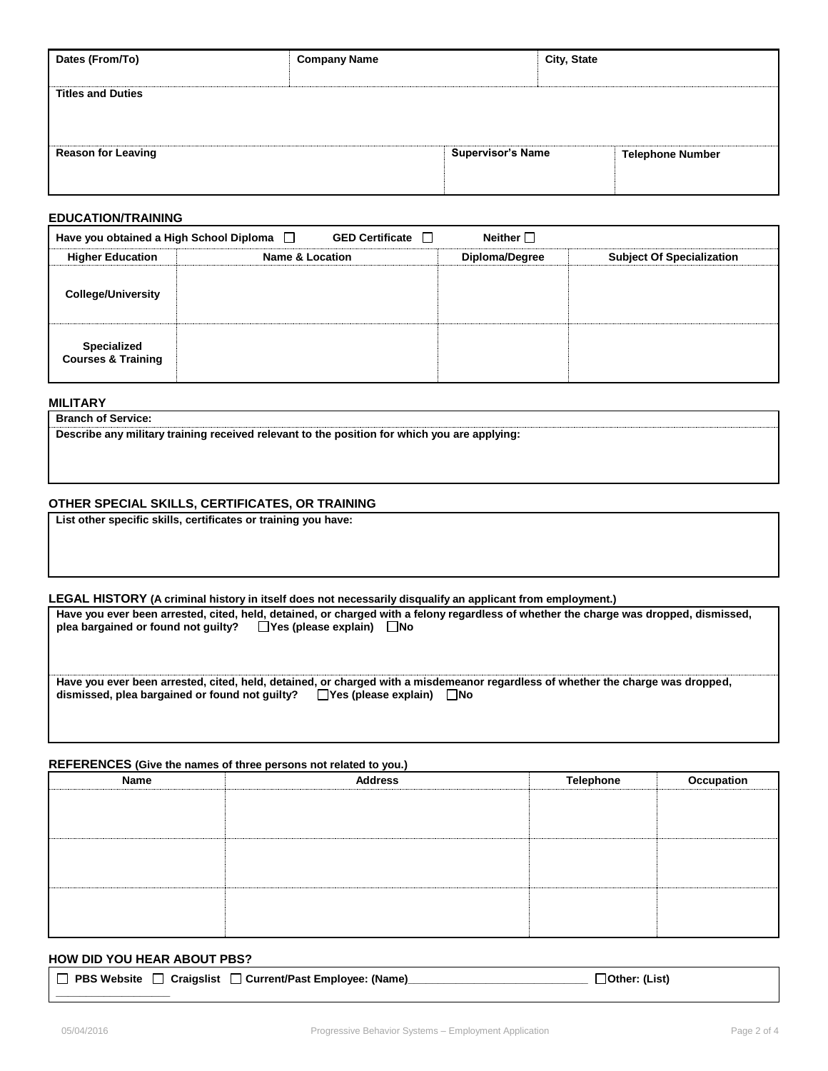| Dates (From/To)           | <b>Company Name</b>      | City, State             |
|---------------------------|--------------------------|-------------------------|
| <b>Titles and Duties</b>  |                          |                         |
| <b>Reason for Leaving</b> | <b>Supervisor's Name</b> | <b>Telephone Number</b> |

#### **EDUCATION/TRAINING**

| Neither $\Box$<br><b>GED Certificate</b><br>Have you obtained a High School Diploma $\Box$ |                            |                |                                  |  |  |  |  |
|--------------------------------------------------------------------------------------------|----------------------------|----------------|----------------------------------|--|--|--|--|
| <b>Higher Education</b>                                                                    | <b>Name &amp; Location</b> | Diploma/Degree | <b>Subject Of Specialization</b> |  |  |  |  |
| <b>College/University</b>                                                                  |                            |                |                                  |  |  |  |  |
| Specialized<br><b>Courses &amp; Training</b>                                               |                            |                |                                  |  |  |  |  |

**MILITARY**

**Branch of Service:**

**Describe any military training received relevant to the position for which you are applying:** 

#### **OTHER SPECIAL SKILLS, CERTIFICATES, OR TRAINING**

**List other specific skills, certificates or training you have:**

**LEGAL HISTORY (A criminal history in itself does not necessarily disqualify an applicant from employment.)** 

**Have you ever been arrested, cited, held, detained, or charged with a felony regardless of whether the charge was dropped, dismissed,**  plea bargained or found not guilty?  $\Box$  Yes (please explain)  $\Box$  No

**Have you ever been arrested, cited, held, detained, or charged with a misdemeanor regardless of whether the charge was dropped,**  dismissed, plea bargained or found not guilty? □ Yes (please explain) □ No

#### **REFERENCES (Give the names of three persons not related to you.)**

| Name | <b>Address</b> | <b>Telephone</b> | Occupation |
|------|----------------|------------------|------------|
|      |                |                  |            |
|      |                |                  |            |
|      |                |                  |            |
|      |                |                  |            |
|      |                |                  |            |
|      |                |                  |            |
|      |                |                  |            |
|      |                |                  |            |
|      |                |                  |            |

#### **HOW DID YOU HEAR ABOUT PBS?**

| □ PBS Website □ Craigslist □ Current/Past Employee: (Name)_ | $\Box$ Other: (List) |
|-------------------------------------------------------------|----------------------|
|                                                             |                      |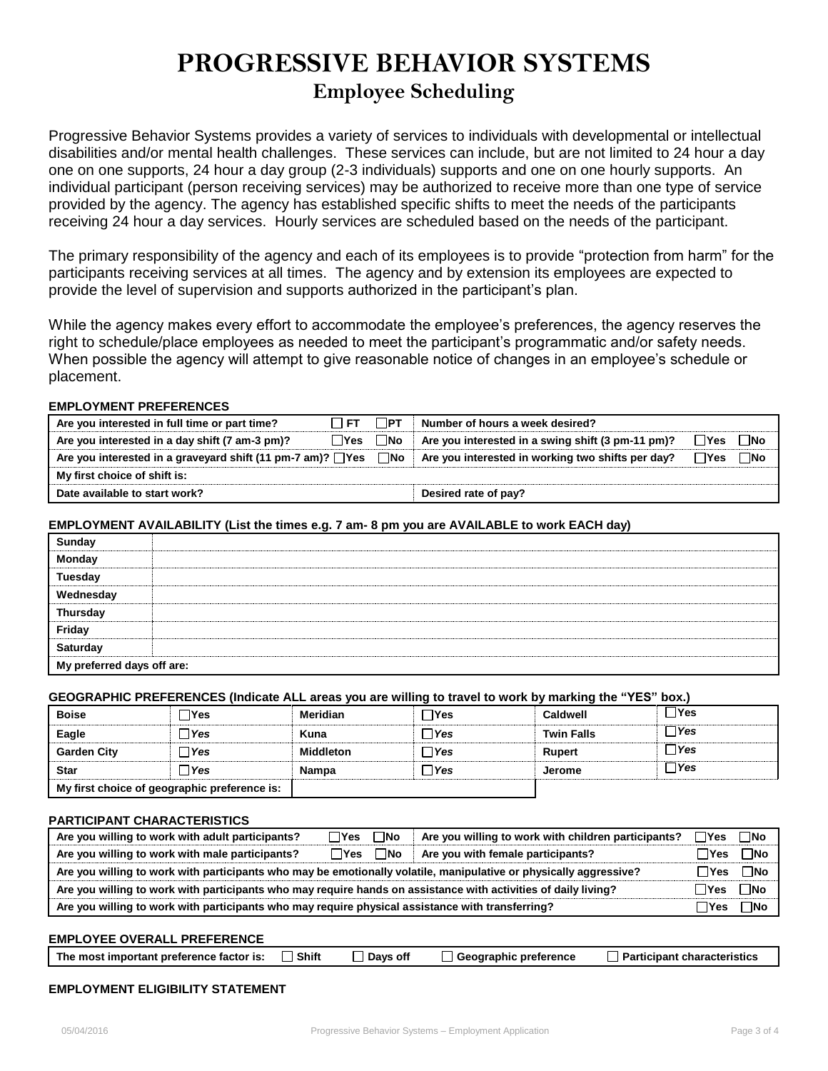# **PROGRESSIVE BEHAVIOR SYSTEMS Employee Scheduling**

Progressive Behavior Systems provides a variety of services to individuals with developmental or intellectual disabilities and/or mental health challenges. These services can include, but are not limited to 24 hour a day one on one supports, 24 hour a day group (2-3 individuals) supports and one on one hourly supports. An individual participant (person receiving services) may be authorized to receive more than one type of service provided by the agency. The agency has established specific shifts to meet the needs of the participants receiving 24 hour a day services. Hourly services are scheduled based on the needs of the participant.

The primary responsibility of the agency and each of its employees is to provide "protection from harm" for the participants receiving services at all times. The agency and by extension its employees are expected to provide the level of supervision and supports authorized in the participant's plan.

While the agency makes every effort to accommodate the employee's preferences, the agency reserves the right to schedule/place employees as needed to meet the participant's programmatic and/or safety needs. When possible the agency will attempt to give reasonable notice of changes in an employee's schedule or placement.

#### **EMPLOYMENT PREFERENCES**

| Are you interested in full time or part time?                    | $\Box$ et            | $\Box$ PT | Number of hours a week desired?                   |              |              |
|------------------------------------------------------------------|----------------------|-----------|---------------------------------------------------|--------------|--------------|
| Are you interested in a day shift (7 am-3 pm)?                   | $\Box$ Yes $\Box$ No |           | Are you interested in a swing shift (3 pm-11 pm)? | ΠYes         | $\Box$ No    |
| Are you interested in a graveyard shift (11 pm-7 am)? □ Yes □ No |                      |           | Are you interested in working two shifts per day? | $\sqcap$ Yes | $\square$ No |
| My first choice of shift is:                                     |                      |           |                                                   |              |              |
| Date available to start work?                                    |                      |           | Desired rate of pay?                              |              |              |

#### **EMPLOYMENT AVAILABILITY (List the times e.g. 7 am- 8 pm you are AVAILABLE to work EACH day)**

| Sunday<br>Monday<br>Tuesday<br>Wednesday<br>Wednesday<br>Friday<br>Saturday |  |
|-----------------------------------------------------------------------------|--|
| My preferred days off are:                                                  |  |

### **GEOGRAPHIC PREFERENCES (Indicate ALL areas you are willing to travel to work by marking the "YES" box.)**

| <b>Boise</b>                                 | ∃Yes | Meridian         | ∃Yes  | Caldwell          | $\sqcap$ Yes |
|----------------------------------------------|------|------------------|-------|-------------------|--------------|
| Eagle                                        | ∃Yes | Kuna             | 7Yes  | <b>Twin Falls</b> | $\sqcap$ Yes |
| <b>Garden City</b>                           | ∃Yes | <b>Middleton</b> | l Yes | <b>Rupert</b>     | $\sqcap$ Yes |
| <b>Star</b>                                  | ∃Yes | Nampa            | Nes⊺  | <b>Jerome</b>     | ΠYes         |
| My first choice of geographic preference is: |      |                  |       |                   |              |

#### **PARTICIPANT CHARACTERISTICS**

| Are you willing to work with adult participants?                                                                  | $\Box$ No<br>∏Yes | Are you willing to work with children participants? | ∃Yes          | $\Box$ No |
|-------------------------------------------------------------------------------------------------------------------|-------------------|-----------------------------------------------------|---------------|-----------|
| Are you willing to work with male participants?                                                                   | ⊟No<br>⊺ Yes      | Are you with female participants?                   | ∏Yes          | ⊟No       |
| Are you willing to work with participants who may be emotionally volatile, manipulative or physically aggressive? |                   |                                                     |               |           |
| Are you willing to work with participants who may require hands on assistance with activities of daily living?    |                   |                                                     |               |           |
| Are you willing to work with participants who may require physical assistance with transferring?                  |                   |                                                     | $\exists$ Yes | $\Box$ No |

## **EMPLOYEE OVERALL PREFERENCE**

| The most important preference factor is: $\Box$ Shift | $\Box$ Days off | <b>□ Geographic preference</b> | □ Participant characteristics |
|-------------------------------------------------------|-----------------|--------------------------------|-------------------------------|
|                                                       |                 |                                |                               |

### **EMPLOYMENT ELIGIBILITY STATEMENT**